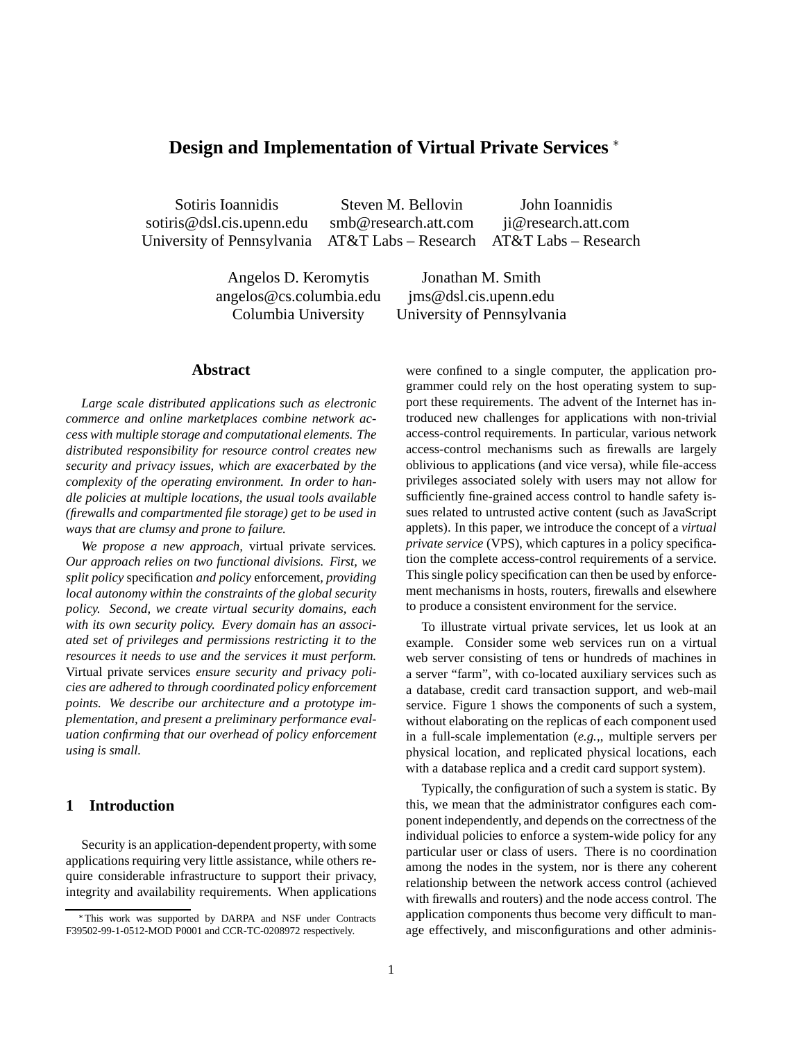# **Design and Implementation of Virtual Private Services**

Sotiris Ioannidis Steven M. Bellovin John Ioannidis sotiris@dsl.cis.upenn.edu smb@research.att.com ji@research.att.com University of Pennsylvania AT&T Labs – Research AT&T Labs – Research

> Angelos D. Keromytis Jonathan M. Smith angelos@cs.columbia.edu jms@dsl.cis.upenn.edu

Columbia University University of Pennsylvania

### **Abstract**

*Large scale distributed applications such as electronic commerce and online marketplaces combine network access with multiple storage and computational elements. The distributed responsibility for resource control creates new security and privacy issues, which are exacerbated by the complexity of the operating environment. In order to handle policies at multiple locations, the usual tools available (firewalls and compartmented file storage) get to be used in ways that are clumsy and prone to failure.*

*We propose a new approach,* virtual private services*. Our approach relies on two functional divisions. First, we split policy* specification *and policy* enforcement*, providing local autonomy within the constraints of the global security policy. Second, we create virtual security domains, each with its own security policy. Every domain has an associated set of privileges and permissions restricting it to the resources it needs to use and the services it must perform.* Virtual private services *ensure security and privacy policies are adhered to through coordinated policy enforcement points. We describe our architecture and a prototype implementation, and present a preliminary performance evaluation confirming that our overhead of policy enforcement using is small.*

## **1 Introduction**

Security is an application-dependent property, with some applications requiring very little assistance, while others require considerable infrastructure to support their privacy, integrity and availability requirements. When applications were confined to a single computer, the application programmer could rely on the host operating system to support these requirements. The advent of the Internet has introduced new challenges for applications with non-trivial access-control requirements. In particular, various network access-control mechanisms such as firewalls are largely oblivious to applications (and vice versa), while file-access privileges associated solely with users may not allow for sufficiently fine-grained access control to handle safety issues related to untrusted active content (such as JavaScript applets). In this paper, we introduce the concept of a *virtual private service* (VPS), which captures in a policy specification the complete access-control requirements of a service. This single policy specification can then be used by enforcement mechanisms in hosts, routers, firewalls and elsewhere to produce a consistent environment for the service.

To illustrate virtual private services, let us look at an example. Consider some web services run on a virtual web server consisting of tens or hundreds of machines in a server "farm", with co-located auxiliary services such as a database, credit card transaction support, and web-mail service. Figure 1 shows the components of such a system, without elaborating on the replicas of each component used in a full-scale implementation (*e.g.,*, multiple servers per physical location, and replicated physical locations, each with a database replica and a credit card support system).

Typically, the configuration of such a system is static. By this, we mean that the administrator configures each component independently, and depends on the correctness of the individual policies to enforce a system-wide policy for any particular user or class of users. There is no coordination among the nodes in the system, nor is there any coherent relationship between the network access control (achieved with firewalls and routers) and the node access control. The application components thus become very difficult to manage effectively, and misconfigurations and other adminis-

This work was supported by DARPA and NSF under Contracts F39502-99-1-0512-MOD P0001 and CCR-TC-0208972 respectively.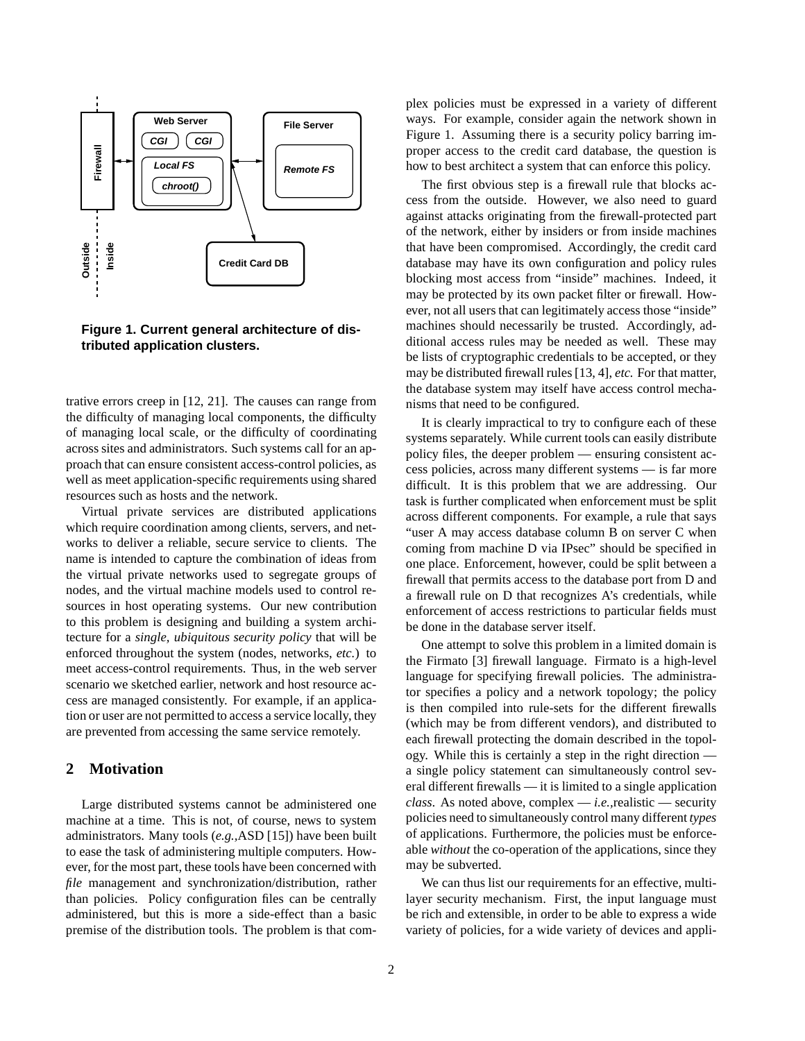

**Figure 1. Current general architecture of distributed application clusters.**

trative errors creep in [12, 21]. The causes can range from the difficulty of managing local components, the difficulty of managing local scale, or the difficulty of coordinating across sites and administrators. Such systems call for an approach that can ensure consistent access-control policies, as well as meet application-specific requirements using shared resources such as hosts and the network.

Virtual private services are distributed applications which require coordination among clients, servers, and networks to deliver a reliable, secure service to clients. The name is intended to capture the combination of ideas from the virtual private networks used to segregate groups of nodes, and the virtual machine models used to control resources in host operating systems. Our new contribution to this problem is designing and building a system architecture for a *single, ubiquitous security policy* that will be enforced throughout the system (nodes, networks, *etc.*) to meet access-control requirements. Thus, in the web server scenario we sketched earlier, network and host resource access are managed consistently. For example, if an application or user are not permitted to access a service locally, they are prevented from accessing the same service remotely.

### **2 Motivation**

Large distributed systems cannot be administered one machine at a time. This is not, of course, news to system administrators. Many tools (*e.g.,*ASD [15]) have been built to ease the task of administering multiple computers. However, for the most part, these tools have been concerned with *file* management and synchronization/distribution, rather than policies. Policy configuration files can be centrally administered, but this is more a side-effect than a basic premise of the distribution tools. The problem is that complex policies must be expressed in a variety of different ways. For example, consider again the network shown in Figure 1. Assuming there is a security policy barring improper access to the credit card database, the question is how to best architect a system that can enforce this policy.

The first obvious step is a firewall rule that blocks access from the outside. However, we also need to guard against attacks originating from the firewall-protected part of the network, either by insiders or from inside machines that have been compromised. Accordingly, the credit card database may have its own configuration and policy rules blocking most access from "inside" machines. Indeed, it may be protected by its own packet filter or firewall. However, not all users that can legitimately access those "inside" machines should necessarily be trusted. Accordingly, additional access rules may be needed as well. These may be lists of cryptographic credentials to be accepted, or they may be distributed firewall rules [13, 4], *etc.* For that matter, the database system may itself have access control mechanisms that need to be configured.

It is clearly impractical to try to configure each of these systems separately. While current tools can easily distribute policy files, the deeper problem — ensuring consistent access policies, across many different systems — is far more difficult. It is this problem that we are addressing. Our task is further complicated when enforcement must be split across different components. For example, a rule that says "user A may access database column B on server C when coming from machine D via IPsec" should be specified in one place. Enforcement, however, could be split between a firewall that permits access to the database port from D and a firewall rule on D that recognizes A's credentials, while enforcement of access restrictions to particular fields must be done in the database server itself.

One attempt to solve this problem in a limited domain is the Firmato [3] firewall language. Firmato is a high-level language for specifying firewall policies. The administrator specifies a policy and a network topology; the policy is then compiled into rule-sets for the different firewalls (which may be from different vendors), and distributed to each firewall protecting the domain described in the topology. While this is certainly a step in the right direction a single policy statement can simultaneously control several different firewalls — it is limited to a single application *class*. As noted above, complex — *i.e.,*realistic — security policies need to simultaneously control many different *types* of applications. Furthermore, the policies must be enforceable *without* the co-operation of the applications, since they may be subverted.

We can thus list our requirements for an effective, multilayer security mechanism. First, the input language must be rich and extensible, in order to be able to express a wide variety of policies, for a wide variety of devices and appli-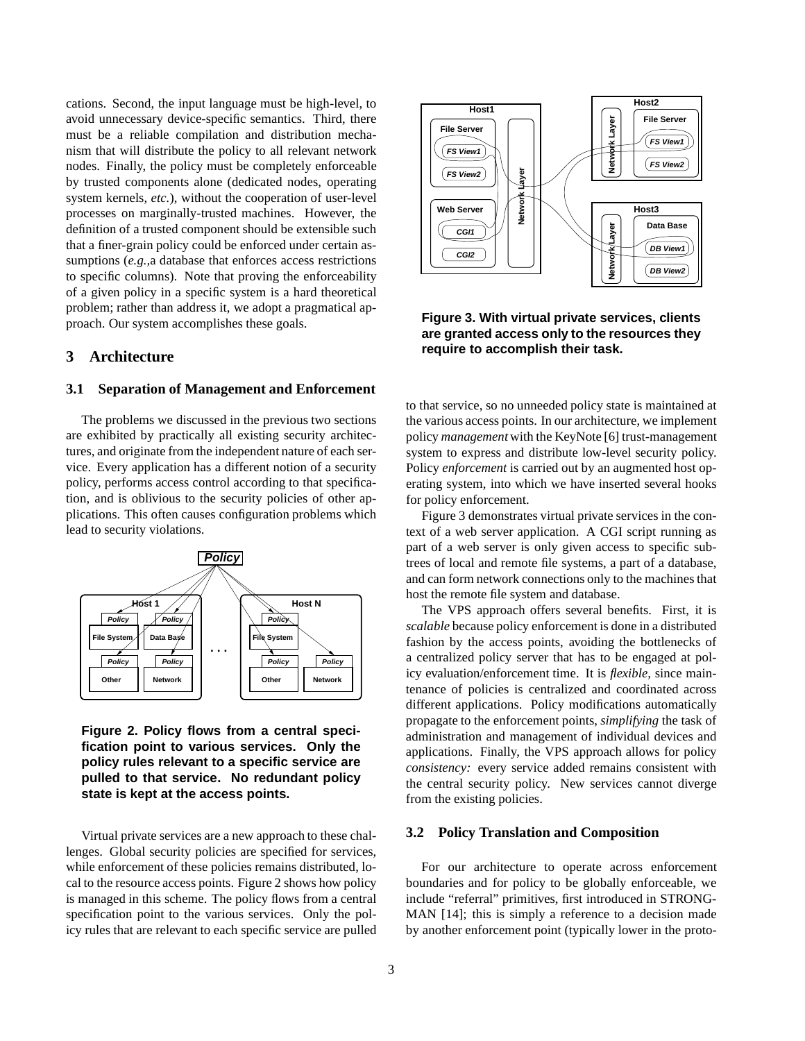cations. Second, the input language must be high-level, to avoid unnecessary device-specific semantics. Third, there must be a reliable compilation and distribution mechanism that will distribute the policy to all relevant network nodes. Finally, the policy must be completely enforceable by trusted components alone (dedicated nodes, operating system kernels, *etc.*), without the cooperation of user-level processes on marginally-trusted machines. However, the definition of a trusted component should be extensible such that a finer-grain policy could be enforced under certain assumptions (*e.g.,*a database that enforces access restrictions to specific columns). Note that proving the enforceability of a given policy in a specific system is a hard theoretical problem; rather than address it, we adopt a pragmatical approach. Our system accomplishes these goals.

### **3 Architecture**

#### **3.1 Separation of Management and Enforcement**

The problems we discussed in the previous two sections are exhibited by practically all existing security architectures, and originate from the independent nature of each service. Every application has a different notion of a security policy, performs access control according to that specification, and is oblivious to the security policies of other applications. This often causes configuration problems which lead to security violations.



**Figure 2. Policy flows from a central specification point to various services. Only the policy rules relevant to a specific service are pulled to that service. No redundant policy state is kept at the access points.**

Virtual private services are a new approach to these challenges. Global security policies are specified for services, while enforcement of these policies remains distributed, local to the resource access points. Figure 2 shows how policy is managed in this scheme. The policy flows from a central specification point to the various services. Only the policy rules that are relevant to each specific service are pulled



**Figure 3. With virtual private services, clients are granted access only to the resources they require to accomplish their task.**

to that service, so no unneeded policy state is maintained at the various access points. In our architecture, we implement policy *management* with the KeyNote [6] trust-management system to express and distribute low-level security policy. Policy *enforcement* is carried out by an augmented host operating system, into which we have inserted several hooks for policy enforcement.

Figure 3 demonstrates virtual private services in the context of a web server application. A CGI script running as part of a web server is only given access to specific subtrees of local and remote file systems, a part of a database, and can form network connections only to the machines that host the remote file system and database.

The VPS approach offers several benefits. First, it is *scalable* because policy enforcement is done in a distributed fashion by the access points, avoiding the bottlenecks of a centralized policy server that has to be engaged at policy evaluation/enforcement time. It is *flexible,* since maintenance of policies is centralized and coordinated across different applications. Policy modifications automatically propagate to the enforcement points, *simplifying* the task of administration and management of individual devices and applications. Finally, the VPS approach allows for policy *consistency:* every service added remains consistent with the central security policy. New services cannot diverge from the existing policies.

#### **3.2 Policy Translation and Composition**

For our architecture to operate across enforcement boundaries and for policy to be globally enforceable, we include "referral" primitives, first introduced in STRONG-MAN [14]; this is simply a reference to a decision made by another enforcement point (typically lower in the proto-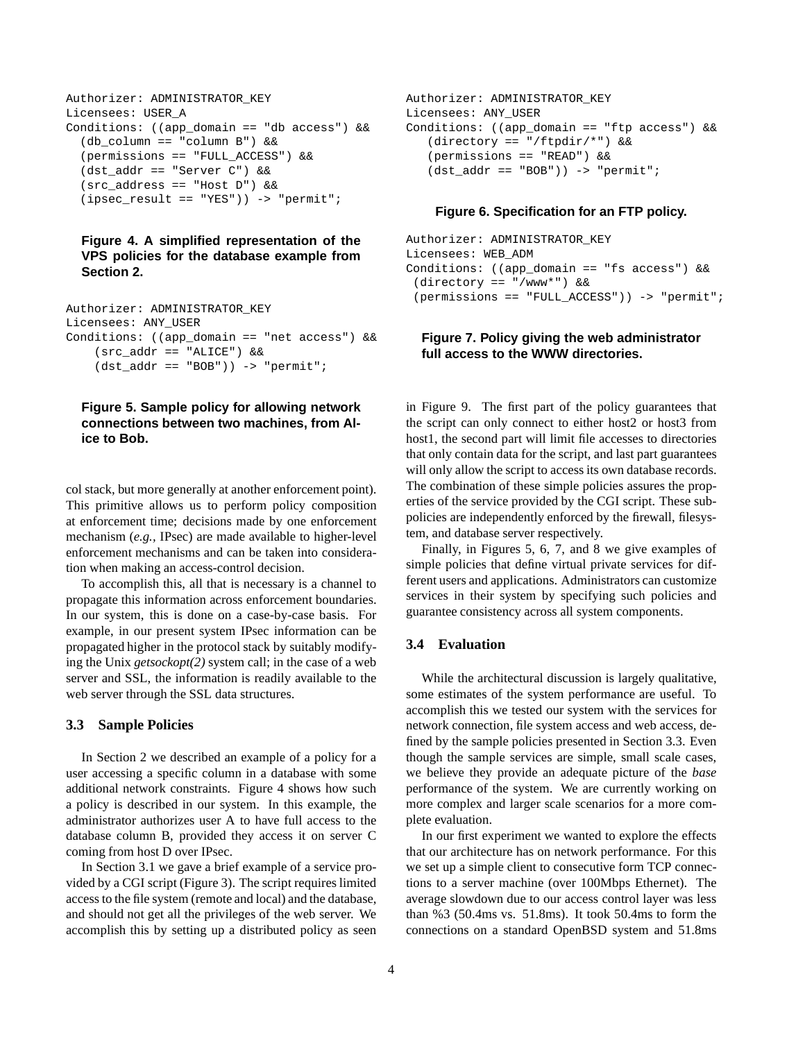```
Authorizer: ADMINISTRATOR_KEY
Licensees: USER_A
Conditions: ((app_domain == "db access") &&
  (db_column == "column B") &&
  (permissions == "FULL_ACCESS") &&
  (dst_addr == "Server C") &&
  (src_address == "Host D") &&
  (ipsec_result == "YES")) -> "permit";
```
### **Figure 4. A simplified representation of the VPS policies for the database example from Section 2.**

```
Authorizer: ADMINISTRATOR_KEY
Licensees: ANY_USER
Conditions: ((app_domain == "net access") &&
    (src\_addr == "ALICE") & & &(dst\_addr == "BOB")) \rightarrow "permit";
```
**Figure 5. Sample policy for allowing network connections between two machines, from Alice to Bob.**

col stack, but more generally at another enforcement point). This primitive allows us to perform policy composition at enforcement time; decisions made by one enforcement mechanism (*e.g.,* IPsec) are made available to higher-level enforcement mechanisms and can be taken into consideration when making an access-control decision.

To accomplish this, all that is necessary is a channel to propagate this information across enforcement boundaries. In our system, this is done on a case-by-case basis. For example, in our present system IPsec information can be propagated higher in the protocol stack by suitably modifying the Unix *getsockopt(2)* system call; in the case of a web server and SSL, the information is readily available to the web server through the SSL data structures.

#### **3.3 Sample Policies**

In Section 2 we described an example of a policy for a user accessing a specific column in a database with some additional network constraints. Figure 4 shows how such a policy is described in our system. In this example, the administrator authorizes user A to have full access to the database column B, provided they access it on server C coming from host D over IPsec.

In Section 3.1 we gave a brief example of a service provided by a CGI script (Figure 3). The script requires limited access to the file system (remote and local) and the database, and should not get all the privileges of the web server. We accomplish this by setting up a distributed policy as seen

```
Authorizer: ADMINISTRATOR_KEY
Licensees: ANY_USER
Conditions: ((app_domain == "ftp access") &&
   (directory == "/ftpdir/*") &&
   (permissions == "READ") &&
   (dst\_addr == "BOB")) \rightarrow "permit";
```
#### **Figure 6. Specification for an FTP policy.**

```
Authorizer: ADMINISTRATOR_KEY
Licensees: WEB_ADM
Conditions: ((app_domain == "fs access") &&
 (directory == "/www*") &&
 (permissions == "FULL_ACCESS")) -> "permit";
```
### **Figure 7. Policy giving the web administrator full access to the WWW directories.**

in Figure 9. The first part of the policy guarantees that the script can only connect to either host2 or host3 from host1, the second part will limit file accesses to directories that only contain data for the script, and last part guarantees will only allow the script to access its own database records. The combination of these simple policies assures the properties of the service provided by the CGI script. These subpolicies are independently enforced by the firewall, filesystem, and database server respectively.

Finally, in Figures 5, 6, 7, and 8 we give examples of simple policies that define virtual private services for different users and applications. Administrators can customize services in their system by specifying such policies and guarantee consistency across all system components.

#### **3.4 Evaluation**

While the architectural discussion is largely qualitative, some estimates of the system performance are useful. To accomplish this we tested our system with the services for network connection, file system access and web access, defined by the sample policies presented in Section 3.3. Even though the sample services are simple, small scale cases, we believe they provide an adequate picture of the *base* performance of the system. We are currently working on more complex and larger scale scenarios for a more complete evaluation.

In our first experiment we wanted to explore the effects that our architecture has on network performance. For this we set up a simple client to consecutive form TCP connections to a server machine (over 100Mbps Ethernet). The average slowdown due to our access control layer was less than %3 (50.4ms vs. 51.8ms). It took 50.4ms to form the connections on a standard OpenBSD system and 51.8ms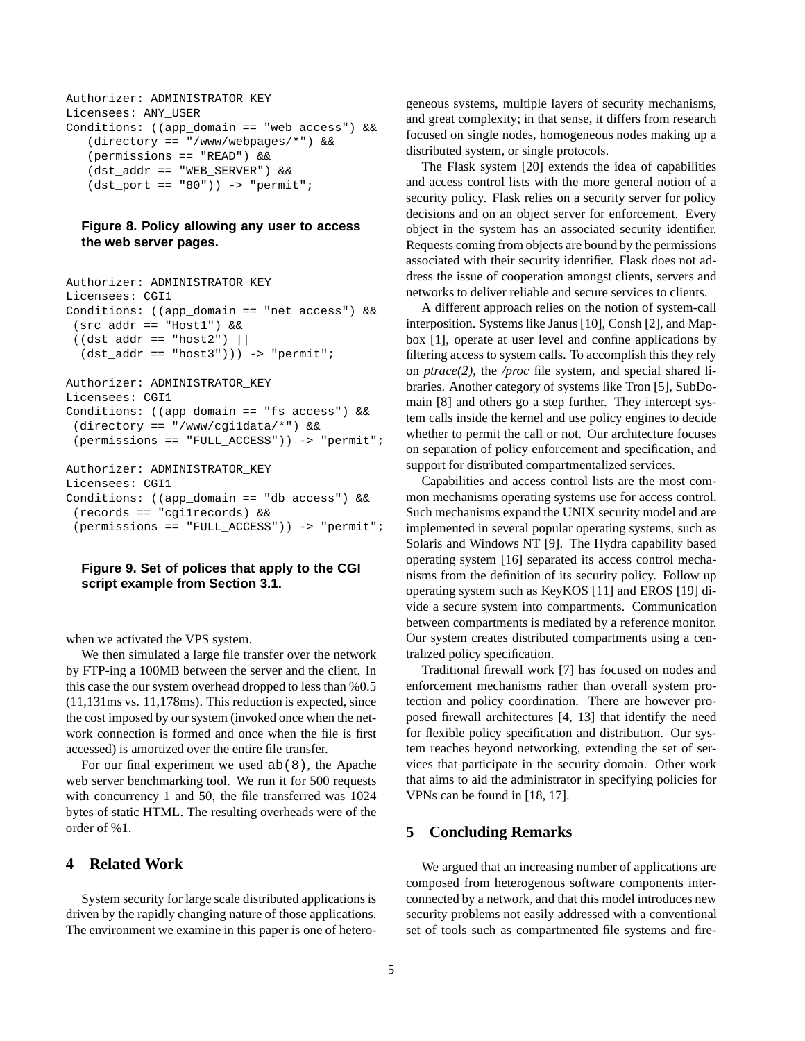```
Authorizer: ADMINISTRATOR_KEY
Licensees: ANY_USER
Conditions: ((app_domain == "web access") &&
   (directory == "/www/webpages/*") &&
   (permissions == "READ") &&
   (dst_addr == "WEB_SERVER") &&
   (dst_port == "80")) -> "permit";
```
### **Figure 8. Policy allowing any user to access the web server pages.**

```
Authorizer: ADMINISTRATOR_KEY
Licensees: CGI1
Conditions: ((app_domain == "net access") &&
 (src_addr == "Host1") &&
 ((dst\_addr == 'host2") ||)(dst\_addr == "host3"))) -> "permit";
```

```
Authorizer: ADMINISTRATOR_KEY
Licensees: CGI1
Conditions: ((app_domain == "fs access") &&
 (directory == "/www/cgi1data/*") &&
 (permissions == "FULL_ACCESS")) -> "permit";
```

```
Authorizer: ADMINISTRATOR_KEY
Licensees: CGI1
Conditions: ((app_domain == "db access") &&
 (records == "cgi1records) &&
 (permissions == "FULL_ACCESS")) -> "permit";
```
### **Figure 9. Set of polices that apply to the CGI script example from Section 3.1.**

when we activated the VPS system.

We then simulated a large file transfer over the network by FTP-ing a 100MB between the server and the client. In this case the our system overhead dropped to less than %0.5 (11,131ms vs. 11,178ms). This reduction is expected, since the cost imposed by our system (invoked once when the network connection is formed and once when the file is first accessed) is amortized over the entire file transfer.

For our final experiment we used  $ab(8)$ , the Apache web server benchmarking tool. We run it for 500 requests with concurrency 1 and 50, the file transferred was 1024 bytes of static HTML. The resulting overheads were of the order of %1.

### **4 Related Work**

System security for large scale distributed applications is driven by the rapidly changing nature of those applications. The environment we examine in this paper is one of heterogeneous systems, multiple layers of security mechanisms, and great complexity; in that sense, it differs from research focused on single nodes, homogeneous nodes making up a distributed system, or single protocols.

The Flask system [20] extends the idea of capabilities and access control lists with the more general notion of a security policy. Flask relies on a security server for policy decisions and on an object server for enforcement. Every object in the system has an associated security identifier. Requests coming from objects are bound by the permissions associated with their security identifier. Flask does not address the issue of cooperation amongst clients, servers and networks to deliver reliable and secure services to clients.

A different approach relies on the notion of system-call interposition. Systems like Janus [10], Consh [2], and Mapbox [1], operate at user level and confine applications by filtering access to system calls. To accomplish this they rely on *ptrace(2)*, the */proc* file system, and special shared libraries. Another category of systems like Tron [5], SubDomain [8] and others go a step further. They intercept system calls inside the kernel and use policy engines to decide whether to permit the call or not. Our architecture focuses on separation of policy enforcement and specification, and support for distributed compartmentalized services.

Capabilities and access control lists are the most common mechanisms operating systems use for access control. Such mechanisms expand the UNIX security model and are implemented in several popular operating systems, such as Solaris and Windows NT [9]. The Hydra capability based operating system [16] separated its access control mechanisms from the definition of its security policy. Follow up operating system such as KeyKOS [11] and EROS [19] divide a secure system into compartments. Communication between compartments is mediated by a reference monitor. Our system creates distributed compartments using a centralized policy specification.

Traditional firewall work [7] has focused on nodes and enforcement mechanisms rather than overall system protection and policy coordination. There are however proposed firewall architectures [4, 13] that identify the need for flexible policy specification and distribution. Our system reaches beyond networking, extending the set of services that participate in the security domain. Other work that aims to aid the administrator in specifying policies for VPNs can be found in [18, 17].

### **5 Concluding Remarks**

We argued that an increasing number of applications are composed from heterogenous software components interconnected by a network, and that this model introduces new security problems not easily addressed with a conventional set of tools such as compartmented file systems and fire